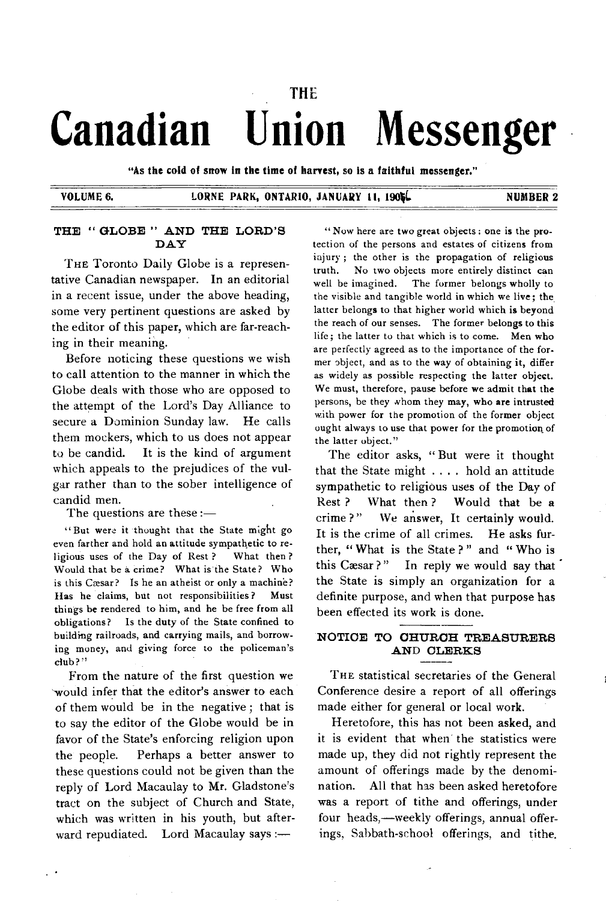# THE **Canadian Union Messenger**

"As the cold of snow in the time of harvest, so is a faithful messenger."

## VOLUME 6. LORNE PARK, ONTARIO, JANUARY 11, 1905. NUMBER 2

# THE "GLOBE" AND THE LORD'S **D A Y**

THE Toronto Daily Globe is a representative Canadian newspaper. In an editorial in a recent issue, under the above heading, some very pertinent questions are asked by the editor of this paper, which are far-reaching in their meaning.

Before noticing these questions we wish to call attention to the manner in which the Globe deals with those who are opposed to the attempt of the Lord's Day Alliance to secure a Dominion Sunday law. He calls them mockers, which to us does not appear to be candid. It is the kind of argument which appeals to the prejudices of the vulgar rather than to the sober intelligence of candid men.

The questions are these  $:=$ 

" But were it thought that the State might go even farther and hold an attitude sympathetic to religious uses of the Day of Rest ? What then ? Would that be a crime? What is the State? Who is this Cæsar? Is he an atheist or only a machine? Has he claims, but not responsibilities ? Must things be rendered to him, and he be free from all obligations? Is the duty of the State confined to building railroads, and carrying mails, and borrowing money, and giving force to the policeman's club?"

From the nature of the first question we would infer that the editor's answer to each of them would be in the negative; that is to say the editor of the Globe would be in favor of the State's enforcing religion upon the people. Perhaps a better answer to these questions could not be given than the reply of Lord Macaulay to Mr. Gladstone's tract on the subject of Church and State, which was written in his youth, but afterward repudiated. Lord Macaulay says :-

" Now here are two great objects: one is the protection of the persons and estates of citizens from injury ; the other is the propagation of religious truth. No two objects more entirely distinct can well be imagined. The former belongs wholly to the visible and tangible world in which we live; the latter belongs to that higher world which is beyond the reach of our senses. The former belongs to this life; the latter to that which is to come. Men who are perfectly agreed as to the importance of the former object, and as to the way of obtaining it, differ as widely as possible respecting the latter object. We must, therefore, pause before we admit that the persons, be they whom they may, who are intrusted with power for the promotion of the former object ought always to use that power for the promotion of the latter object."

The editor asks, "But were it thought that the State might .... hold an attitude sympathetic to religious uses of the Day of Rest ? What then ? Would that be a crime ?" We answer, It certainly would. It is the crime of all crimes. He asks further, " What is the State ? " and " Who is this Cæsar?" In reply we would say that the State is simply an organization for a definite purpose, and when that purpose has been effected its work is done.

# **NOTICE TO CHURCH TREASURERS AND CLERKS**

THE statistical secretaries of the General Conference desire a report of all offerings made either for general or local work.

Heretofore, this has not been asked, and it is evident that when the statistics were made up, they did not rightly represent the amount of offerings made by the denomination. All that has been asked heretofore was a report of tithe and offerings, under four heads,— weekly offerings, annual offerings, Sabbath-school offerings, and tithe.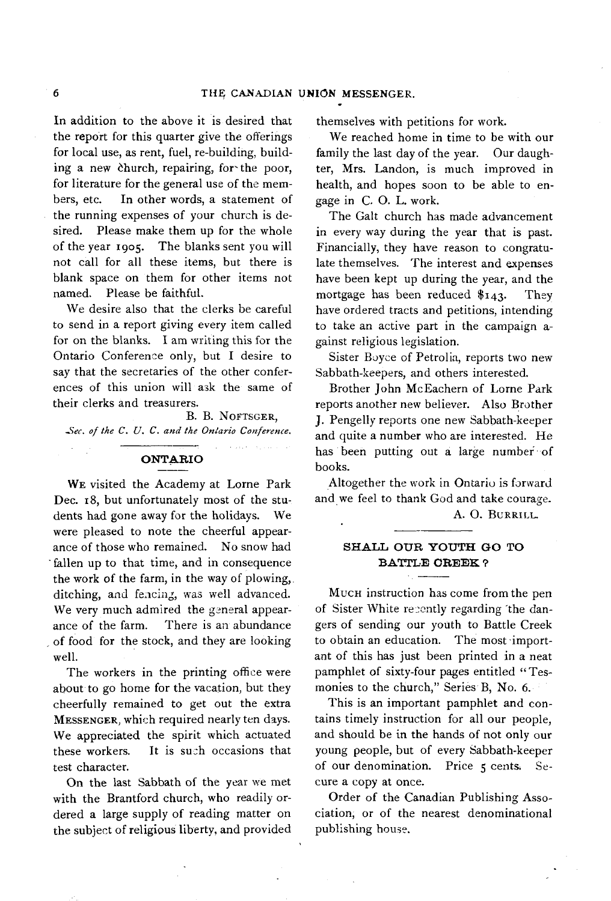In addition to the above it is desired that the report for this quarter give the offerings for local use, as rent, fuel, re-building, building a new church, repairing, for the poor, for literature for the general use of the members, etc. In other words, a statement of the running expenses of your church is desired. Please make them up for the whole of the year 1905. The blanks sent you will not call for all these items, but there is blank space on them for other items not named. Please be faithful.

We desire also that the clerks be careful to send in a report giving every item called for on the blanks. I am writing this for the Ontario Conference only, but I desire to say that the secretaries of the other conferences of this union will ask the same of their clerks and treasurers.

B. B. NOFTSGER, Sec. of the C. U. C. and the Ontario Conference.

# **O N T A R IO**

WE visited the Academy at Lorne Park Dec. 18, but unfortunately most of the students had gone away for the holidays. We were pleased to note the cheerful appearance of those who remained. No snow had fallen up to that time, and in consequence the work of the farm, in the way of plowing, ditching, and fencing, was well advanced. We very much admired the general appearance of the farm. There is an abundance of food for the stock, and they are looking well.

The workers in the printing office were about to go home for the vacation, but they cheerfully rem ained to get out the extra MESSENGER, which required nearly ten days. We appreciated the spirit which actuated these workers. It is such occasions that test character.

On the last Sabbath of the year we met with the Brantford church, who readily ordered a large supply of reading matter on the subject of religious liberty, and provided themselves with petitions for work.

We reached home in time to be with our family the last day of the year. Our daughter, Mrs. Landon, is much im proved in health, and hopes soon to be able to engage in C. O. L. work.

The Galt church has made advancement in every way during the year that is past. Financially, they have reason to congratulate themselves. The interest and expenses have been kept up during the year, and the mortgage has been reduced  $$143$ . They have ordered tracts and petitions, intending to take an active part in the campaign  $a$ gainst religious legislation.

Sister Boyce of Petrolia, reports two new Sabbath-keepers, and others interested.

Brother John McEachern of Lorne Park reports another new believer. Also Brother J. Pengelly reports one new Sabbath-keeper and quite a number who are interested. He has been putting out a large number of books.

Altogether the work in Ontario is forward and we feel to thank God and take courage.

A. O. BURRILL

# SHALL OUR YOUTH GO TO **BATTLE CREEK ?**

MUCH instruction has come from the pen of Sister White recently regarding "the dangers of sending our youth to Battle Creek to obtain an education. The most important of this has just been printed in a neat pamphlet of sixty-four pages entitled "Tesmonies to the church," Series B, No. 6.

This is an important pamphlet and contains timely instruction for all our people, and should be in the hands of not only our young people, but of every Sabbath-keeper of our denomination. Price 5 cents. Secure a copy at once.

Order of the Canadian Publishing Association, or of the nearest denominational publishing house.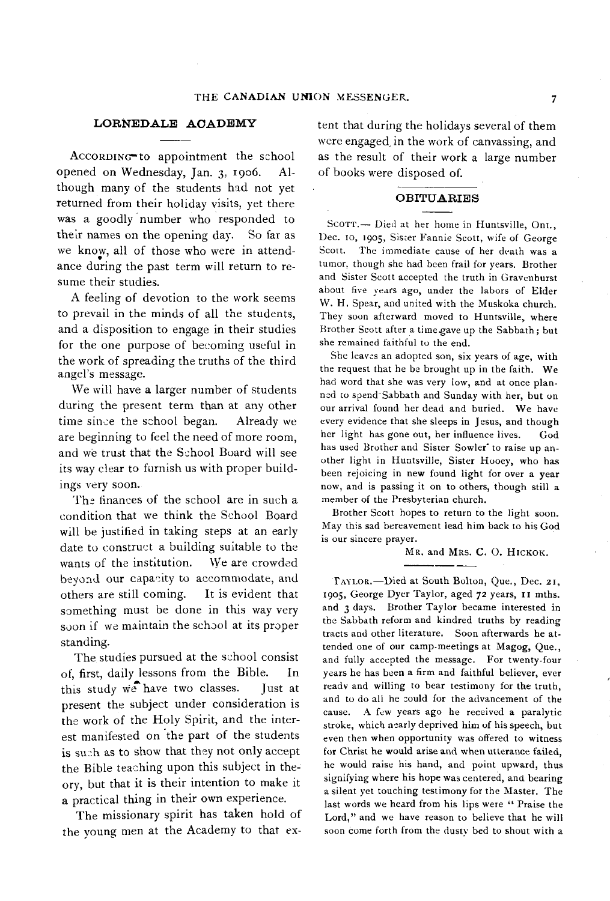# LORNEDALE ACADEMY

ACCORDING to appointment the school opened on Wednesday, Jan. 3, 1906. Although many of the students had not yet returned from their holiday visits, yet there was a goodly number who responded to their names on the opening day. So far as we know, all of those who were in attendwe know, an or those who were in attenu-<br>ance during the past term will return to resume their studies.

A feeling of devotion to the work seems to prevail in the minds of all the students, and a disposition to engage in their studies for the one purpose of becoming useful in the work of spreading the truths of the third angel's message.

We will have a larger number of students during the present term than at any other time since the school began. Already we are beginning to feel the need of more room, and we trust that the School Board will see its way clear to furnish us with proper buildings very soon.

The finances of the school are in such a condition that we think the School Board will be justified in taking steps at an early date to construct a building suitable to the wants of the institution. We are crowded beyond our capacity to accommodate, and others are still coming. It is evident that som ething must be done in this way very soon if we maintain the school at its proper standing.

The studies pursued at the school consist of, first, daily lessons from the Bible. In this study we have two classes. Just at present the subject under consideration is the work of the Holy Spirit, and the interest manifested on the part of the students is such as to show that they not only accept the Bible teaching upon this subject in theory, but that it is their intention to make it a practical thing in their own experience.

The missionary spirit has taken hold of the young men at the Academy to that extent that during the holidays several of them were engaged in the work of canvassing, and as the result of their work a large number o f books were disposed of.

#### **O B IT U A R IE S**

SCOTT.- Died at her home in Huntsville, Ont., Dec. 10, 1905, Sister Fannie Scott, wife of George Scott. The immediate cause of her death was a tumor, though she had been frail for years. Brother and Sister Scott accepted the truth in Gravenhurst about five years ago, under the labors of Elder W. H. Spear, and united with the Muskoka church. They soon afterward moved to Huntsville, where Brother Scott after a time gave up the Sabbath; but she remained faithful to the end.

She leaves an adopted son, six years of age, with the request that he be brought up in the faith. We had word that she was very low, and at once planned to spend Sabbath and Sunday with her, but on our arrival found her dead and buried. We have every evidence that she sleeps in Jesus, and though her light has gone out, her influence lives. God has used Brother and Sister Sowler' to raise up another light in Huntsville, Sister Hooey, who has been rejoicing in new found light for over a year now, and is passing it on to others, though still a member of the Presbyterian church.

Brother Scott hopes to return to the light soon. May this sad bereavement lead him back to his God is our sincere prayer.

MR. and MRS. C. O. HICKOK.

TAYLOR.-Died at South Bolton, Que., Dec. 21, 1905, George Dyer Taylor, aged 72 years, 11 mths. and 3 days. Brother Taylor became interested in the Sabbath reform and kindred truths by reading tracts and other literature. Soon afterwards he attended one of our camp-meetings at Magog, Que., and fully accepted the message. For twenty-four years he has been a firm and faithful believer, ever readv and willing to bear testimony for the truth, and to do all he could for the advancement of the cause. A few years ago he received a paralytic stroke, which nearly deprived him of his speech, but even then when opportunity was offered to witness for Christ he would arise and when utterance failed, he would raise his hand, and point upward, thus signifying where his hope was centered, and bearing a silent yet touching testimony for the Master. The last words we heard from his lips were " Praise the Lord," and we have reason to believe that he will soon come forth from the dusty bed to shout with a